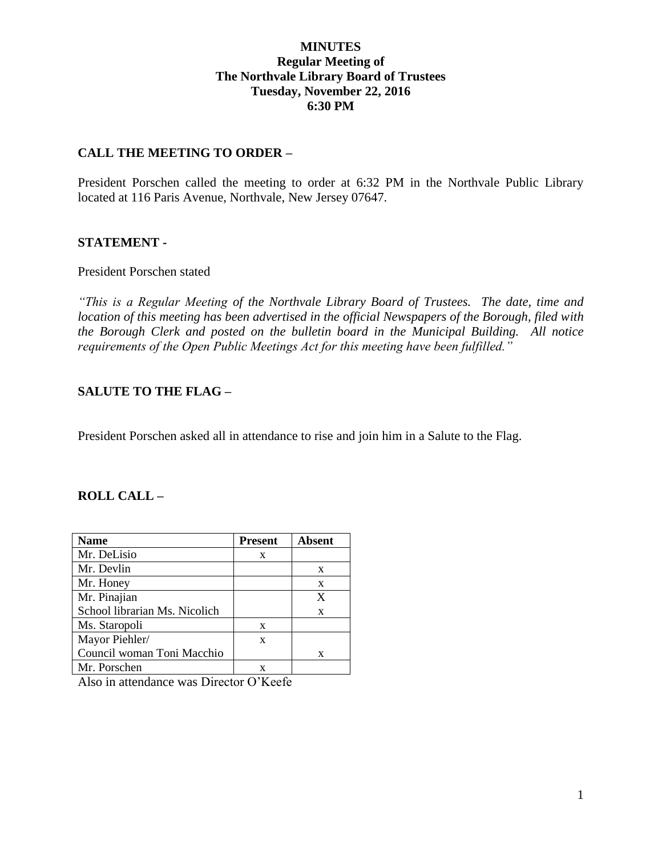# **MINUTES Regular Meeting of The Northvale Library Board of Trustees Tuesday, November 22, 2016 6:30 PM**

# **CALL THE MEETING TO ORDER –**

President Porschen called the meeting to order at 6:32 PM in the Northvale Public Library located at 116 Paris Avenue, Northvale, New Jersey 07647.

## **STATEMENT -**

### President Porschen stated

*"This is a Regular Meeting of the Northvale Library Board of Trustees. The date, time and location of this meeting has been advertised in the official Newspapers of the Borough, filed with the Borough Clerk and posted on the bulletin board in the Municipal Building. All notice requirements of the Open Public Meetings Act for this meeting have been fulfilled."* 

# **SALUTE TO THE FLAG –**

President Porschen asked all in attendance to rise and join him in a Salute to the Flag.

## **ROLL CALL –**

| <b>Name</b>                   | <b>Present</b> | <b>Absent</b> |
|-------------------------------|----------------|---------------|
| Mr. DeLisio                   | X              |               |
| Mr. Devlin                    |                | X             |
| Mr. Honey                     |                | X             |
| Mr. Pinajian                  |                | X             |
| School librarian Ms. Nicolich |                | X             |
| Ms. Staropoli                 | X              |               |
| Mayor Piehler/                | X              |               |
| Council woman Toni Macchio    |                | X             |
| Mr. Porschen                  |                |               |

Also in attendance was Director O'Keefe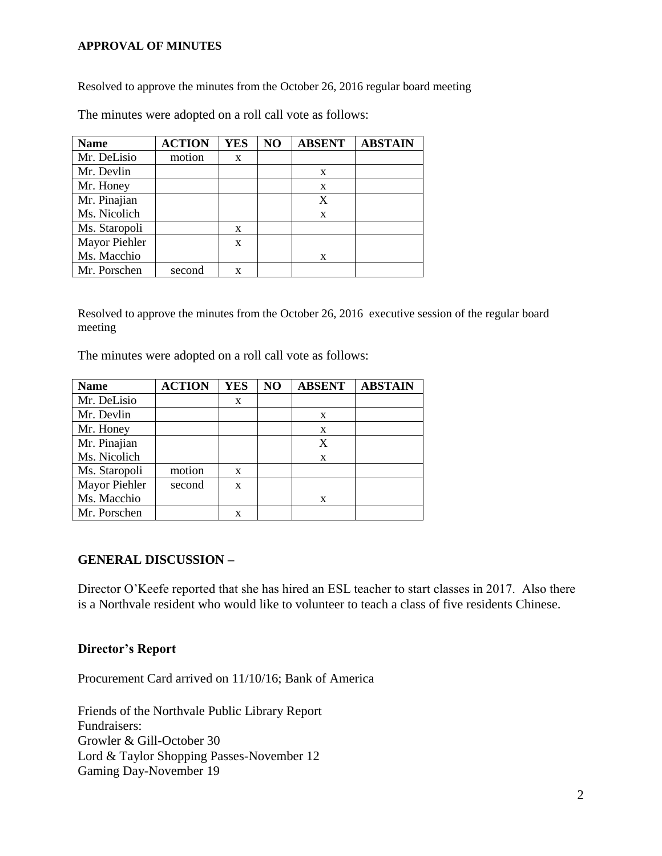### **APPROVAL OF MINUTES**

Resolved to approve the minutes from the October 26, 2016 regular board meeting

| <b>Name</b>   | <b>ACTION</b> | <b>YES</b> | NO | <b>ABSENT</b> | <b>ABSTAIN</b> |
|---------------|---------------|------------|----|---------------|----------------|
| Mr. DeLisio   | motion        | X          |    |               |                |
| Mr. Devlin    |               |            |    | X             |                |
| Mr. Honey     |               |            |    | X             |                |
| Mr. Pinajian  |               |            |    | X             |                |
| Ms. Nicolich  |               |            |    | X             |                |
| Ms. Staropoli |               | X          |    |               |                |
| Mayor Piehler |               | X          |    |               |                |
| Ms. Macchio   |               |            |    | X             |                |
| Mr. Porschen  | second        | X          |    |               |                |

The minutes were adopted on a roll call vote as follows:

Resolved to approve the minutes from the October 26, 2016 executive session of the regular board meeting

The minutes were adopted on a roll call vote as follows:

| <b>Name</b>   | <b>ACTION</b> | <b>YES</b> | NO | <b>ABSENT</b> | <b>ABSTAIN</b> |
|---------------|---------------|------------|----|---------------|----------------|
| Mr. DeLisio   |               | X          |    |               |                |
| Mr. Devlin    |               |            |    | X             |                |
| Mr. Honey     |               |            |    | X             |                |
| Mr. Pinajian  |               |            |    | X             |                |
| Ms. Nicolich  |               |            |    | X             |                |
| Ms. Staropoli | motion        | X          |    |               |                |
| Mayor Piehler | second        | X          |    |               |                |
| Ms. Macchio   |               |            |    | X             |                |
| Mr. Porschen  |               | x          |    |               |                |

## **GENERAL DISCUSSION –**

Director O'Keefe reported that she has hired an ESL teacher to start classes in 2017. Also there is a Northvale resident who would like to volunteer to teach a class of five residents Chinese.

#### **Director's Report**

Procurement Card arrived on 11/10/16; Bank of America

Friends of the Northvale Public Library Report Fundraisers: Growler & Gill-October 30 Lord & Taylor Shopping Passes-November 12 Gaming Day-November 19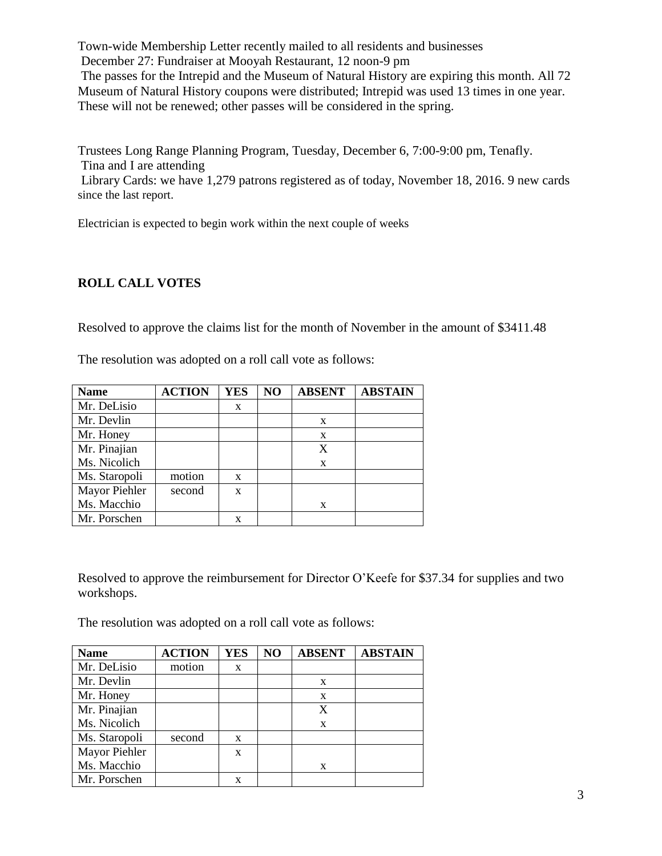Town-wide Membership Letter recently mailed to all residents and businesses December 27: Fundraiser at Mooyah Restaurant, 12 noon-9 pm The passes for the Intrepid and the Museum of Natural History are expiring this month. All 72 Museum of Natural History coupons were distributed; Intrepid was used 13 times in one year. These will not be renewed; other passes will be considered in the spring.

Trustees Long Range Planning Program, Tuesday, December 6, 7:00-9:00 pm, Tenafly. Tina and I are attending

Library Cards: we have 1,279 patrons registered as of today, November 18, 2016. 9 new cards since the last report.

Electrician is expected to begin work within the next couple of weeks

# **ROLL CALL VOTES**

Resolved to approve the claims list for the month of November in the amount of \$3411.48

| <b>Name</b>   | <b>ACTION</b> | <b>YES</b> | N <sub>O</sub> | <b>ABSENT</b> | <b>ABSTAIN</b> |
|---------------|---------------|------------|----------------|---------------|----------------|
| Mr. DeLisio   |               | X          |                |               |                |
| Mr. Devlin    |               |            |                | X             |                |
| Mr. Honey     |               |            |                | X             |                |
| Mr. Pinajian  |               |            |                | X             |                |
| Ms. Nicolich  |               |            |                | X             |                |
| Ms. Staropoli | motion        | X          |                |               |                |
| Mayor Piehler | second        | X          |                |               |                |
| Ms. Macchio   |               |            |                | X             |                |
| Mr. Porschen  |               | x          |                |               |                |

The resolution was adopted on a roll call vote as follows:

Resolved to approve the reimbursement for Director O'Keefe for \$37.34 for supplies and two workshops.

The resolution was adopted on a roll call vote as follows:

| <b>Name</b>   | <b>ACTION</b> | <b>YES</b> | NO | <b>ABSENT</b> | <b>ABSTAIN</b> |
|---------------|---------------|------------|----|---------------|----------------|
| Mr. DeLisio   | motion        | X          |    |               |                |
| Mr. Devlin    |               |            |    | X             |                |
| Mr. Honey     |               |            |    | X             |                |
| Mr. Pinajian  |               |            |    | X             |                |
| Ms. Nicolich  |               |            |    | $\mathbf{x}$  |                |
| Ms. Staropoli | second        | X          |    |               |                |
| Mayor Piehler |               | X          |    |               |                |
| Ms. Macchio   |               |            |    | X             |                |
| Mr. Porschen  |               | X          |    |               |                |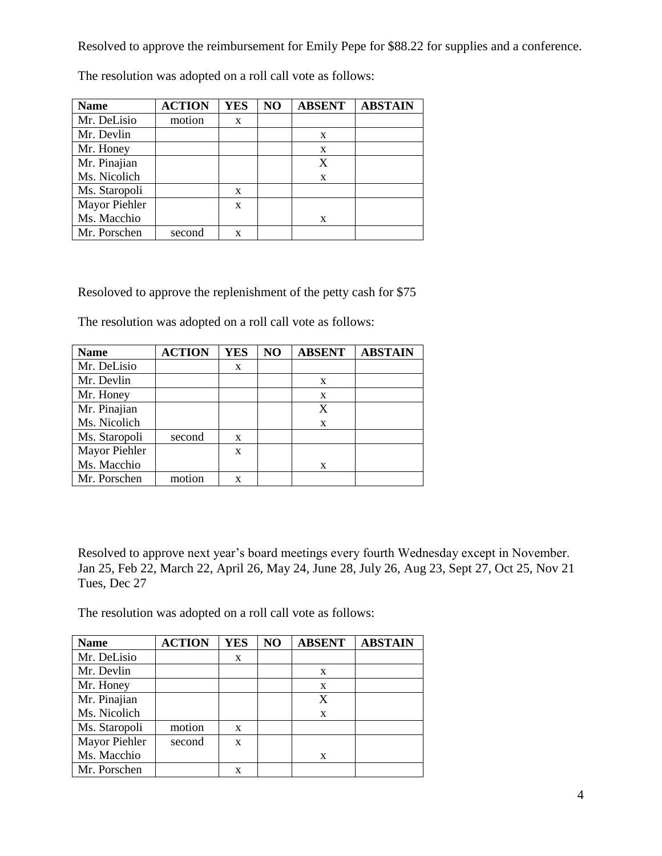Resolved to approve the reimbursement for Emily Pepe for \$88.22 for supplies and a conference.

| <b>Name</b>   | <b>ACTION</b> | YES | NO | <b>ABSENT</b> | <b>ABSTAIN</b> |
|---------------|---------------|-----|----|---------------|----------------|
| Mr. DeLisio   | motion        | X   |    |               |                |
| Mr. Devlin    |               |     |    | X             |                |
| Mr. Honey     |               |     |    | X             |                |
| Mr. Pinajian  |               |     |    | X             |                |
| Ms. Nicolich  |               |     |    | X             |                |
| Ms. Staropoli |               | X   |    |               |                |
| Mayor Piehler |               | X   |    |               |                |
| Ms. Macchio   |               |     |    | X             |                |
| Mr. Porschen  | second        | X   |    |               |                |

The resolution was adopted on a roll call vote as follows:

Resoloved to approve the replenishment of the petty cash for \$75

The resolution was adopted on a roll call vote as follows:

| <b>Name</b>   | <b>ACTION</b> | <b>YES</b> | NO | <b>ABSENT</b> | <b>ABSTAIN</b> |
|---------------|---------------|------------|----|---------------|----------------|
| Mr. DeLisio   |               | X          |    |               |                |
| Mr. Devlin    |               |            |    | X             |                |
| Mr. Honey     |               |            |    | X             |                |
| Mr. Pinajian  |               |            |    | X             |                |
| Ms. Nicolich  |               |            |    | X             |                |
| Ms. Staropoli | second        | X          |    |               |                |
| Mayor Piehler |               | X          |    |               |                |
| Ms. Macchio   |               |            |    | X             |                |
| Mr. Porschen  | motion        | x          |    |               |                |

Resolved to approve next year's board meetings every fourth Wednesday except in November. Jan 25, Feb 22, March 22, April 26, May 24, June 28, July 26, Aug 23, Sept 27, Oct 25, Nov 21 Tues, Dec 27

The resolution was adopted on a roll call vote as follows:

| <b>Name</b>   | <b>ACTION</b> | <b>YES</b> | NO | <b>ABSENT</b> | <b>ABSTAIN</b> |
|---------------|---------------|------------|----|---------------|----------------|
| Mr. DeLisio   |               | X          |    |               |                |
| Mr. Devlin    |               |            |    | X             |                |
| Mr. Honey     |               |            |    | X             |                |
| Mr. Pinajian  |               |            |    | X             |                |
| Ms. Nicolich  |               |            |    | X             |                |
| Ms. Staropoli | motion        | X          |    |               |                |
| Mayor Piehler | second        | X          |    |               |                |
| Ms. Macchio   |               |            |    | X             |                |
| Mr. Porschen  |               |            |    |               |                |